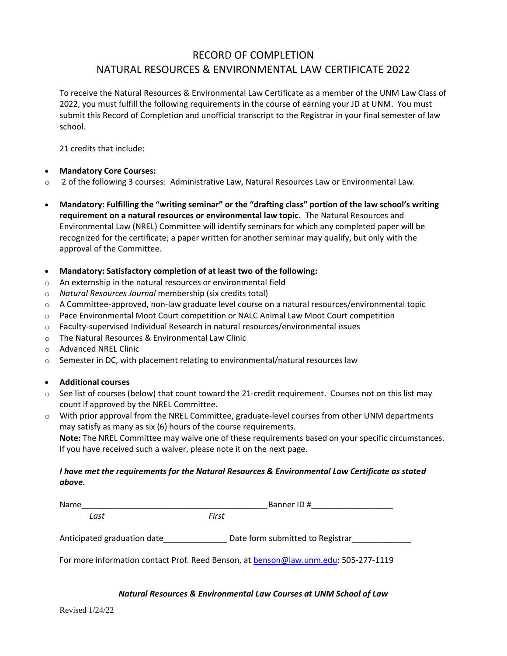# RECORD OF COMPLETION NATURAL RESOURCES & ENVIRONMENTAL LAW CERTIFICATE 2022

To receive the Natural Resources & Environmental Law Certificate as a member of the UNM Law Class of 2022, you must fulfill the following requirements in the course of earning your JD at UNM. You must submit this Record of Completion and unofficial transcript to the Registrar in your final semester of law school.

21 credits that include:

## • **Mandatory Core Courses:**

- o 2 of the following 3 courses: Administrative Law, Natural Resources Law or Environmental Law.
- **Mandatory: Fulfilling the "writing seminar" or the "drafting class" portion of the law school's writing requirement on a natural resources or environmental law topic.** The Natural Resources and Environmental Law (NREL) Committee will identify seminars for which any completed paper will be recognized for the certificate; a paper written for another seminar may qualify, but only with the approval of the Committee.
- **Mandatory: Satisfactory completion of at least two of the following:**
- o An externship in the natural resources or environmental field
- o *Natural Resources Journal* membership (six credits total)
- o A Committee-approved, non-law graduate level course on a natural resources/environmental topic
- o Pace Environmental Moot Court competition or NALC Animal Law Moot Court competition
- $\circ$  Faculty-supervised Individual Research in natural resources/environmental issues
- o The Natural Resources & Environmental Law Clinic
- o Advanced NREL Clinic
- $\circ$  Semester in DC, with placement relating to environmental/natural resources law

## • **Additional courses**

- $\circ$  See list of courses (below) that count toward the 21-credit requirement. Courses not on this list may count if approved by the NREL Committee.
- o With prior approval from the NREL Committee, graduate-level courses from other UNM departments may satisfy as many as six (6) hours of the course requirements.

**Note:** The NREL Committee may waive one of these requirements based on your specific circumstances. If you have received such a waiver, please note it on the next page.

## *I have met the requirements for the Natural Resources & Environmental Law Certificate as stated above.*

| Name                        | Banner ID#                                                                          |  |
|-----------------------------|-------------------------------------------------------------------------------------|--|
| Last                        | First                                                                               |  |
| Anticipated graduation date | Date form submitted to Registrar                                                    |  |
|                             |                                                                                     |  |
|                             | For more information contact Prof. Reed Benson, at benson@law.unm.edu; 505-277-1119 |  |

## *Natural Resources & Environmental Law Courses at UNM School of Law*